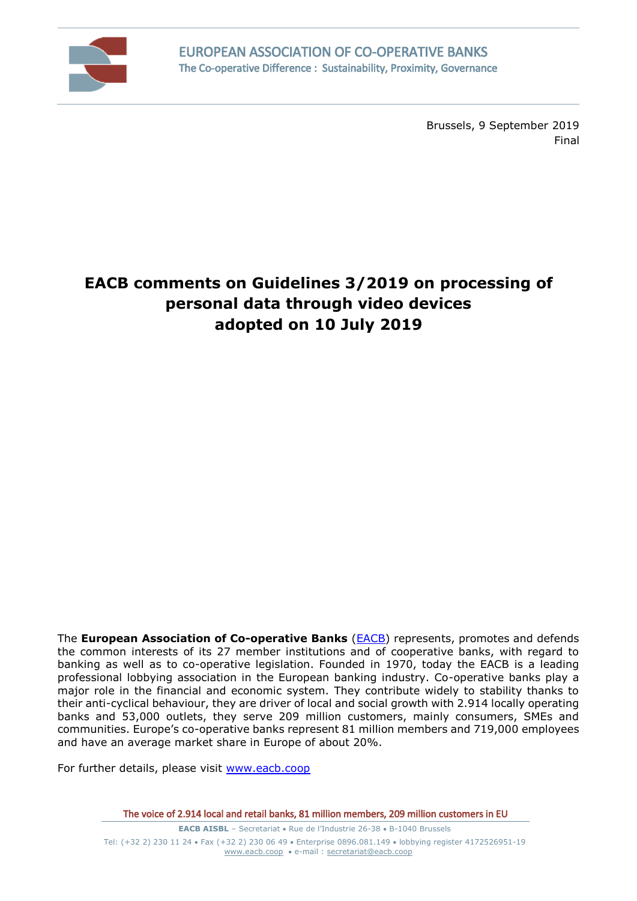

Brussels, 9 September 2019 Final

# **EACB comments on Guidelines 3/2019 on processing of personal data through video devices adopted on 10 July 2019**

The **European Association of Co-operative Banks** [\(EACB\)](http://www.eacb.coop/en/home.html) represents, promotes and defends the common interests of its 27 member institutions and of cooperative banks, with regard to banking as well as to co-operative legislation. Founded in 1970, today the EACB is a leading professional lobbying association in the European banking industry. Co-operative banks play a major role in the financial and economic system. They contribute widely to stability thanks to their anti-cyclical behaviour, they are driver of local and social growth with 2.914 locally operating banks and 53,000 outlets, they serve 209 million customers, mainly consumers, SMEs and communities. Europe's co-operative banks represent 81 million members and 719,000 employees and have an average market share in Europe of about 20%.

For further details, please visit [www.eacb.coop](http://www.eacb.coop/)

**EACB AISBL** – Secretariat • Rue de l'Industrie 26-38 • B-1040 Brussels Tel: (+32 2) 230 11 24 Fax (+32 2) 230 06 49 Enterprise 0896.081.149 lobbying register 4172526951-19 [www.eacb.coop](http://www.eacb.coop/)  e-mail : [secretariat@eacb.coop](mailto:secretariat@eacb.coop)

The voice of 2.914 local and retail banks, 81 million members, 209 million customers in EU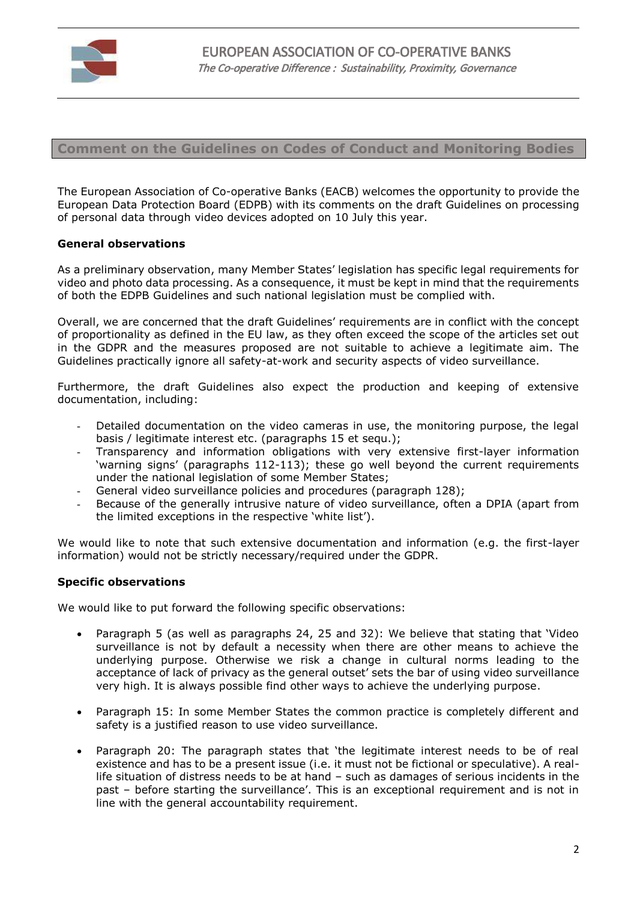

# **Comment on the Guidelines on Codes of Conduct and Monitoring Bodies**

The European Association of Co-operative Banks (EACB) welcomes the opportunity to provide the European Data Protection Board (EDPB) with its comments on the draft Guidelines on processing of personal data through video devices adopted on 10 July this year.

#### **General observations**

As a preliminary observation, many Member States' legislation has specific legal requirements for video and photo data processing. As a consequence, it must be kept in mind that the requirements of both the EDPB Guidelines and such national legislation must be complied with.

Overall, we are concerned that the draft Guidelines' requirements are in conflict with the concept of proportionality as defined in the EU law, as they often exceed the scope of the articles set out in the GDPR and the measures proposed are not suitable to achieve a legitimate aim. The Guidelines practically ignore all safety-at-work and security aspects of video surveillance.

Furthermore, the draft Guidelines also expect the production and keeping of extensive documentation, including:

- Detailed documentation on the video cameras in use, the monitoring purpose, the legal basis / legitimate interest etc. (paragraphs 15 et sequ.);
- Transparency and information obligations with very extensive first-layer information 'warning signs' (paragraphs 112-113); these go well beyond the current requirements under the national legislation of some Member States;
- General video surveillance policies and procedures (paragraph 128);
- Because of the generally intrusive nature of video surveillance, often a DPIA (apart from the limited exceptions in the respective 'white list').

We would like to note that such extensive documentation and information (e.g. the first-layer information) would not be strictly necessary/required under the GDPR.

## **Specific observations**

We would like to put forward the following specific observations:

- Paragraph 5 (as well as paragraphs 24, 25 and 32): We believe that stating that 'Video surveillance is not by default a necessity when there are other means to achieve the underlying purpose. Otherwise we risk a change in cultural norms leading to the acceptance of lack of privacy as the general outset' sets the bar of using video surveillance very high. It is always possible find other ways to achieve the underlying purpose.
- Paragraph 15: In some Member States the common practice is completely different and safety is a justified reason to use video surveillance.
- Paragraph 20: The paragraph states that 'the legitimate interest needs to be of real existence and has to be a present issue (i.e. it must not be fictional or speculative). A reallife situation of distress needs to be at hand – such as damages of serious incidents in the past – before starting the surveillance'. This is an exceptional requirement and is not in line with the general accountability requirement.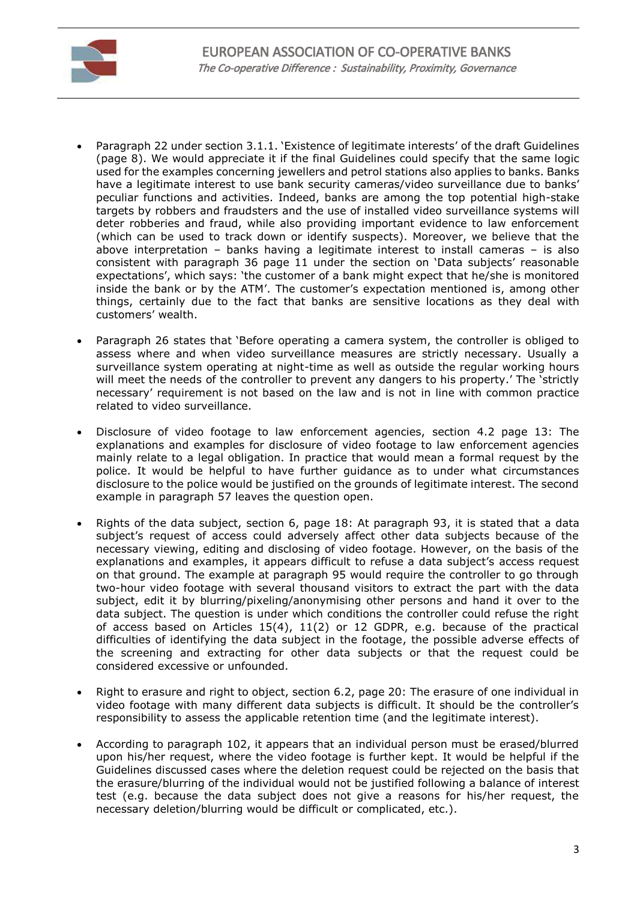

- Paragraph 22 under section 3.1.1. 'Existence of legitimate interests' of the draft Guidelines (page 8). We would appreciate it if the final Guidelines could specify that the same logic used for the examples concerning jewellers and petrol stations also applies to banks. Banks have a legitimate interest to use bank security cameras/video surveillance due to banks' peculiar functions and activities. Indeed, banks are among the top potential high-stake targets by robbers and fraudsters and the use of installed video surveillance systems will deter robberies and fraud, while also providing important evidence to law enforcement (which can be used to track down or identify suspects). Moreover, we believe that the above interpretation – banks having a legitimate interest to install cameras – is also consistent with paragraph 36 page 11 under the section on 'Data subjects' reasonable expectations', which says: 'the customer of a bank might expect that he/she is monitored inside the bank or by the ATM'. The customer's expectation mentioned is, among other things, certainly due to the fact that banks are sensitive locations as they deal with customers' wealth.
- Paragraph 26 states that 'Before operating a camera system, the controller is obliged to assess where and when video surveillance measures are strictly necessary. Usually a surveillance system operating at night-time as well as outside the regular working hours will meet the needs of the controller to prevent any dangers to his property.' The 'strictly necessary' requirement is not based on the law and is not in line with common practice related to video surveillance.
- Disclosure of video footage to law enforcement agencies, section 4.2 page 13: The explanations and examples for disclosure of video footage to law enforcement agencies mainly relate to a legal obligation. In practice that would mean a formal request by the police. It would be helpful to have further guidance as to under what circumstances disclosure to the police would be justified on the grounds of legitimate interest. The second example in paragraph 57 leaves the question open.
- Rights of the data subject, section 6, page 18: At paragraph 93, it is stated that a data subject's request of access could adversely affect other data subjects because of the necessary viewing, editing and disclosing of video footage. However, on the basis of the explanations and examples, it appears difficult to refuse a data subject's access request on that ground. The example at paragraph 95 would require the controller to go through two-hour video footage with several thousand visitors to extract the part with the data subject, edit it by blurring/pixeling/anonymising other persons and hand it over to the data subject. The question is under which conditions the controller could refuse the right of access based on Articles 15(4), 11(2) or 12 GDPR, e.g. because of the practical difficulties of identifying the data subject in the footage, the possible adverse effects of the screening and extracting for other data subjects or that the request could be considered excessive or unfounded.
- Right to erasure and right to object, section 6.2, page 20: The erasure of one individual in video footage with many different data subjects is difficult. It should be the controller's responsibility to assess the applicable retention time (and the legitimate interest).
- According to paragraph 102, it appears that an individual person must be erased/blurred upon his/her request, where the video footage is further kept. It would be helpful if the Guidelines discussed cases where the deletion request could be rejected on the basis that the erasure/blurring of the individual would not be justified following a balance of interest test (e.g. because the data subject does not give a reasons for his/her request, the necessary deletion/blurring would be difficult or complicated, etc.).